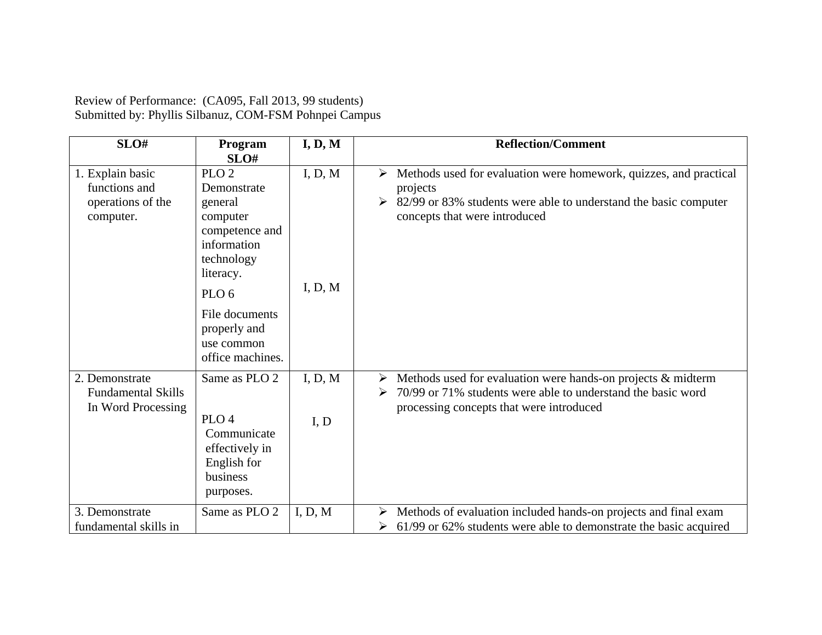| Review of Performance: (CA095, Fall 2013, 99 students) |  |
|--------------------------------------------------------|--|
| Submitted by: Phyllis Silbanuz, COM-FSM Pohnpei Campus |  |

| SLO#                                                                | Program<br>SLO#                                                                                                                                                                                            | I, D, M            | <b>Reflection/Comment</b>                                                                                                                                                                              |  |  |
|---------------------------------------------------------------------|------------------------------------------------------------------------------------------------------------------------------------------------------------------------------------------------------------|--------------------|--------------------------------------------------------------------------------------------------------------------------------------------------------------------------------------------------------|--|--|
| 1. Explain basic<br>functions and<br>operations of the<br>computer. | PLO <sub>2</sub><br>Demonstrate<br>general<br>computer<br>competence and<br>information<br>technology<br>literacy.<br>PLO <sub>6</sub><br>File documents<br>properly and<br>use common<br>office machines. | I, D, M<br>I, D, M | Methods used for evaluation were homework, quizzes, and practical<br>➤<br>projects<br>82/99 or 83% students were able to understand the basic computer<br>➤<br>concepts that were introduced           |  |  |
| 2. Demonstrate<br><b>Fundamental Skills</b><br>In Word Processing   | Same as PLO 2<br>PLO <sub>4</sub><br>Communicate<br>effectively in<br>English for<br>business<br>purposes.                                                                                                 | I, D, M<br>I, D    | Methods used for evaluation were hands-on projects & midterm<br>$\blacktriangleright$<br>70/99 or 71% students were able to understand the basic word<br>➤<br>processing concepts that were introduced |  |  |
| 3. Demonstrate<br>fundamental skills in                             | Same as PLO 2                                                                                                                                                                                              | I, D, M            | Methods of evaluation included hands-on projects and final exam<br>➤<br>61/99 or 62% students were able to demonstrate the basic acquired<br>➤                                                         |  |  |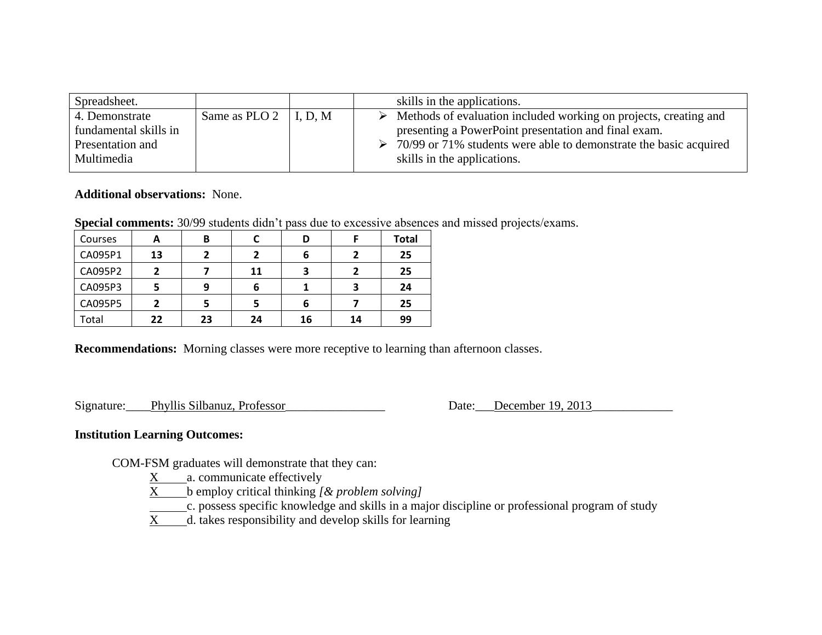| Spreadsheet.          |                               | skills in the applications.                                                       |
|-----------------------|-------------------------------|-----------------------------------------------------------------------------------|
| 4. Demonstrate        | Same as PLO 2 $\vert$ I, D, M | $\triangleright$ Methods of evaluation included working on projects, creating and |
| fundamental skills in |                               | presenting a PowerPoint presentation and final exam.                              |
| Presentation and      |                               | 70/99 or 71% students were able to demonstrate the basic acquired                 |
| Multimedia            |                               | skills in the applications.                                                       |

## **Additional observations:** None.

**Special comments:** 30/99 students didn't pass due to excessive absences and missed projects/exams.

| Courses | А  | В  |    | D  |    | <b>Total</b> |
|---------|----|----|----|----|----|--------------|
| CA095P1 | 13 | 2  | ר  | 6  | י  | 25           |
| CA095P2 | 2  |    | 11 | Э  | 2  | 25           |
| CA095P3 |    | 9  | 6  |    | 3  | 24           |
| CA095P5 |    | 5  |    | 6  |    | 25           |
| Total   | 22 | 23 | 24 | 16 | 14 | 99           |

**Recommendations:** Morning classes were more receptive to learning than afternoon classes.

Signature: Phyllis Silbanuz, Professor Date: December 19, 2013

## **Institution Learning Outcomes:**

COM-FSM graduates will demonstrate that they can:

- $X$  a. communicate effectively
- X b employ critical thinking *[& problem solving]*
- c. possess specific knowledge and skills in a major discipline or professional program of study
- X d. takes responsibility and develop skills for learning